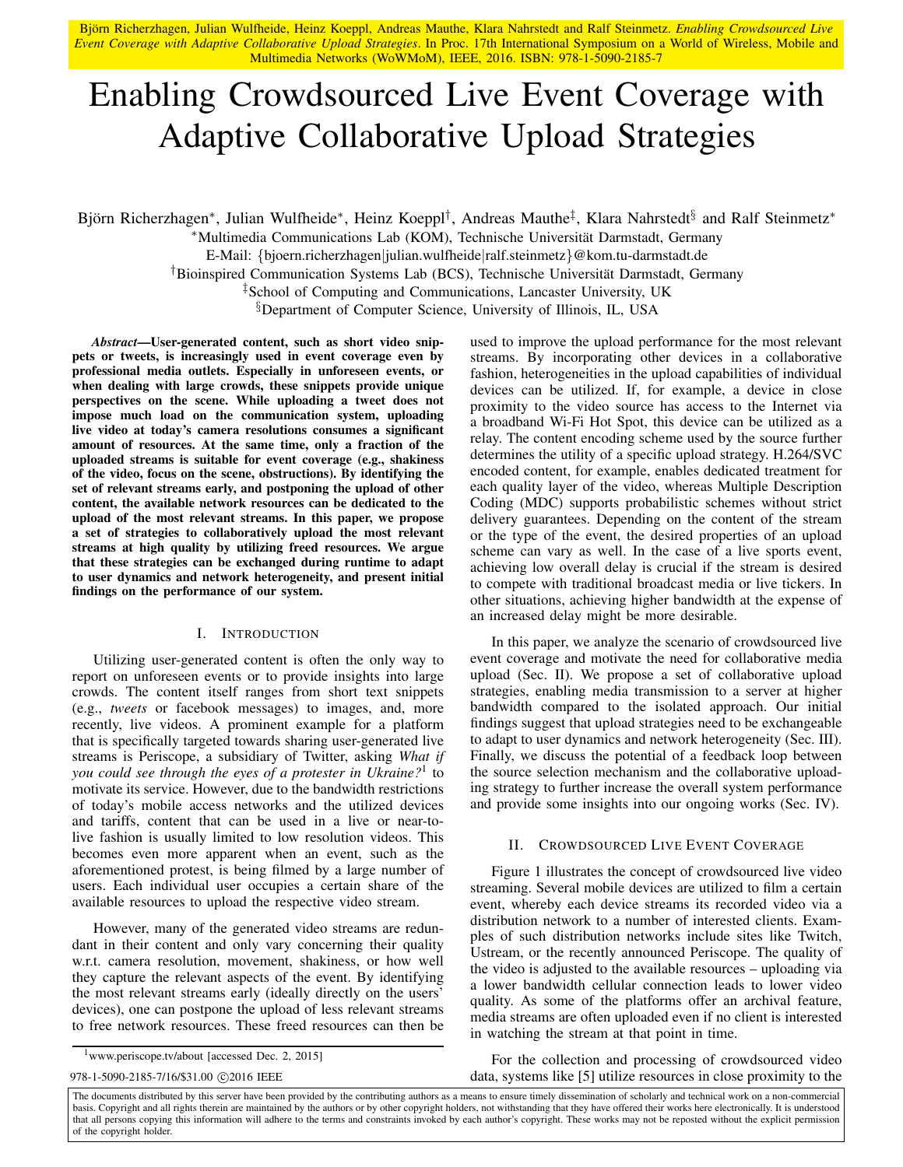Björn Richerzhagen, Julian Wulfheide, Heinz Koeppl, Andreas Mauthe, Klara Nahrstedt and Ralf Steinmetz. Enabling Crowdsourced Live *Event Coverage with Adaptive Collaborative Upload Strategies*. In Proc. 17th International Symposium on a World of Wireless, Mobile and Multimedia Networks (WoWMoM), IEEE, 2016. ISBN: 978-1-5090-2185-7

# Enabling Crowdsourced Live Event Coverage with Adaptive Collaborative Upload Strategies

Björn Richerzhagen\*, Julian Wulfheide\*, Heinz Koeppl<sup>†</sup>, Andreas Mauthe<sup>‡</sup>, Klara Nahrstedt<sup>§</sup> and Ralf Steinmetz\*

<sup>∗</sup>Multimedia Communications Lab (KOM), Technische Universitat Darmstadt, Germany ¨

E-Mail: {bjoern.richerzhagen|julian.wulfheide|ralf.steinmetz}@kom.tu-darmstadt.de

†Bioinspired Communication Systems Lab (BCS), Technische Universitat Darmstadt, Germany ¨

‡School of Computing and Communications, Lancaster University, UK

§Department of Computer Science, University of Illinois, IL, USA

*Abstract*—User-generated content, such as short video snippets or tweets, is increasingly used in event coverage even by professional media outlets. Especially in unforeseen events, or when dealing with large crowds, these snippets provide unique perspectives on the scene. While uploading a tweet does not impose much load on the communication system, uploading live video at today's camera resolutions consumes a significant amount of resources. At the same time, only a fraction of the uploaded streams is suitable for event coverage (e.g., shakiness of the video, focus on the scene, obstructions). By identifying the set of relevant streams early, and postponing the upload of other content, the available network resources can be dedicated to the upload of the most relevant streams. In this paper, we propose a set of strategies to collaboratively upload the most relevant streams at high quality by utilizing freed resources. We argue that these strategies can be exchanged during runtime to adapt to user dynamics and network heterogeneity, and present initial findings on the performance of our system.

## I. INTRODUCTION

Utilizing user-generated content is often the only way to report on unforeseen events or to provide insights into large crowds. The content itself ranges from short text snippets (e.g., *tweets* or facebook messages) to images, and, more recently, live videos. A prominent example for a platform that is specifically targeted towards sharing user-generated live streams is Periscope, a subsidiary of Twitter, asking *What if you could see through the eyes of a protester in Ukraine?*<sup>1</sup> to motivate its service. However, due to the bandwidth restrictions of today's mobile access networks and the utilized devices and tariffs, content that can be used in a live or near-tolive fashion is usually limited to low resolution videos. This becomes even more apparent when an event, such as the aforementioned protest, is being filmed by a large number of users. Each individual user occupies a certain share of the available resources to upload the respective video stream.

However, many of the generated video streams are redundant in their content and only vary concerning their quality w.r.t. camera resolution, movement, shakiness, or how well they capture the relevant aspects of the event. By identifying the most relevant streams early (ideally directly on the users' devices), one can postpone the upload of less relevant streams to free network resources. These freed resources can then be

<sup>1</sup>www.periscope.tv/about [accessed Dec. 2, 2015]

used to improve the upload performance for the most relevant streams. By incorporating other devices in a collaborative fashion, heterogeneities in the upload capabilities of individual devices can be utilized. If, for example, a device in close proximity to the video source has access to the Internet via a broadband Wi-Fi Hot Spot, this device can be utilized as a relay. The content encoding scheme used by the source further determines the utility of a specific upload strategy. H.264/SVC encoded content, for example, enables dedicated treatment for each quality layer of the video, whereas Multiple Description Coding (MDC) supports probabilistic schemes without strict delivery guarantees. Depending on the content of the stream or the type of the event, the desired properties of an upload scheme can vary as well. In the case of a live sports event, achieving low overall delay is crucial if the stream is desired to compete with traditional broadcast media or live tickers. In other situations, achieving higher bandwidth at the expense of an increased delay might be more desirable.

In this paper, we analyze the scenario of crowdsourced live event coverage and motivate the need for collaborative media upload (Sec. II). We propose a set of collaborative upload strategies, enabling media transmission to a server at higher bandwidth compared to the isolated approach. Our initial findings suggest that upload strategies need to be exchangeable to adapt to user dynamics and network heterogeneity (Sec. III). Finally, we discuss the potential of a feedback loop between the source selection mechanism and the collaborative uploading strategy to further increase the overall system performance and provide some insights into our ongoing works (Sec. IV).

### II. CROWDSOURCED LIVE EVENT COVERAGE

Figure 1 illustrates the concept of crowdsourced live video streaming. Several mobile devices are utilized to film a certain event, whereby each device streams its recorded video via a distribution network to a number of interested clients. Examples of such distribution networks include sites like Twitch, Ustream, or the recently announced Periscope. The quality of the video is adjusted to the available resources – uploading via a lower bandwidth cellular connection leads to lower video quality. As some of the platforms offer an archival feature, media streams are often uploaded even if no client is interested in watching the stream at that point in time.

For the collection and processing of crowdsourced video 978-1-5090-2185-7/16/\$31.00  $\odot$ 2016 IEEE data, systems like [5] utilize resources in close proximity to the

The documents distributed by this server have been provided by the contributing authors as a means to ensure timely dissemination of scholarly and technical work on a non-commercial basis. Copyright and all rights therein are maintained by the authors or by other copyright holders, not withstanding that they have offered their works here electronically. It is understood that all persons copying this information will adhere to the terms and constraints invoked by each author's copyright. These works may not be reposted without the explicit permission of the copyright holder.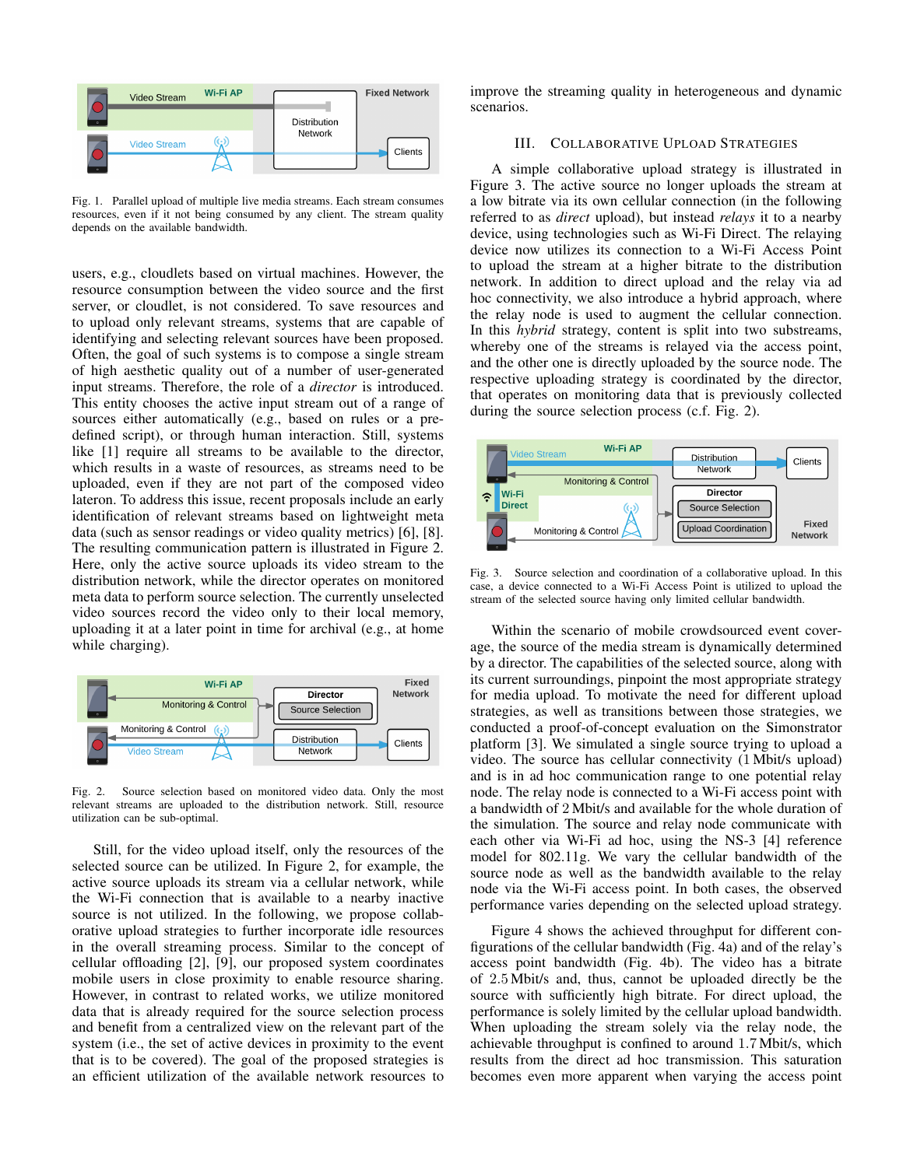

Fig. 1. Parallel upload of multiple live media streams. Each stream consumes resources, even if it not being consumed by any client. The stream quality depends on the available bandwidth.

users, e.g., cloudlets based on virtual machines. However, the resource consumption between the video source and the first server, or cloudlet, is not considered. To save resources and to upload only relevant streams, systems that are capable of identifying and selecting relevant sources have been proposed. Often, the goal of such systems is to compose a single stream of high aesthetic quality out of a number of user-generated input streams. Therefore, the role of a *director* is introduced. This entity chooses the active input stream out of a range of sources either automatically (e.g., based on rules or a predefined script), or through human interaction. Still, systems like [1] require all streams to be available to the director, which results in a waste of resources, as streams need to be uploaded, even if they are not part of the composed video lateron. To address this issue, recent proposals include an early identification of relevant streams based on lightweight meta data (such as sensor readings or video quality metrics) [6], [8]. The resulting communication pattern is illustrated in Figure 2. Here, only the active source uploads its video stream to the distribution network, while the director operates on monitored meta data to perform source selection. The currently unselected video sources record the video only to their local memory, uploading it at a later point in time for archival (e.g., at home while charging).



Fig. 2. Source selection based on monitored video data. Only the most relevant streams are uploaded to the distribution network. Still, resource utilization can be sub-optimal.

Still, for the video upload itself, only the resources of the selected source can be utilized. In Figure 2, for example, the active source uploads its stream via a cellular network, while the Wi-Fi connection that is available to a nearby inactive source is not utilized. In the following, we propose collaborative upload strategies to further incorporate idle resources in the overall streaming process. Similar to the concept of cellular offloading [2], [9], our proposed system coordinates mobile users in close proximity to enable resource sharing. However, in contrast to related works, we utilize monitored data that is already required for the source selection process and benefit from a centralized view on the relevant part of the system (i.e., the set of active devices in proximity to the event that is to be covered). The goal of the proposed strategies is an efficient utilization of the available network resources to improve the streaming quality in heterogeneous and dynamic scenarios.

### III. COLLABORATIVE UPLOAD STRATEGIES

A simple collaborative upload strategy is illustrated in Figure 3. The active source no longer uploads the stream at a low bitrate via its own cellular connection (in the following referred to as *direct* upload), but instead *relays* it to a nearby device, using technologies such as Wi-Fi Direct. The relaying device now utilizes its connection to a Wi-Fi Access Point to upload the stream at a higher bitrate to the distribution network. In addition to direct upload and the relay via ad hoc connectivity, we also introduce a hybrid approach, where the relay node is used to augment the cellular connection. In this *hybrid* strategy, content is split into two substreams, whereby one of the streams is relayed via the access point, and the other one is directly uploaded by the source node. The respective uploading strategy is coordinated by the director, that operates on monitoring data that is previously collected during the source selection process (c.f. Fig. 2).



Fig. 3. Source selection and coordination of a collaborative upload. In this case, a device connected to a Wi-Fi Access Point is utilized to upload the stream of the selected source having only limited cellular bandwidth.

Within the scenario of mobile crowdsourced event coverage, the source of the media stream is dynamically determined by a director. The capabilities of the selected source, along with its current surroundings, pinpoint the most appropriate strategy for media upload. To motivate the need for different upload strategies, as well as transitions between those strategies, we conducted a proof-of-concept evaluation on the Simonstrator platform [3]. We simulated a single source trying to upload a video. The source has cellular connectivity (1 Mbit/s upload) and is in ad hoc communication range to one potential relay node. The relay node is connected to a Wi-Fi access point with a bandwidth of 2 Mbit/s and available for the whole duration of the simulation. The source and relay node communicate with each other via Wi-Fi ad hoc, using the NS-3 [4] reference model for 802.11g. We vary the cellular bandwidth of the source node as well as the bandwidth available to the relay node via the Wi-Fi access point. In both cases, the observed performance varies depending on the selected upload strategy.

Figure 4 shows the achieved throughput for different configurations of the cellular bandwidth (Fig. 4a) and of the relay's access point bandwidth (Fig. 4b). The video has a bitrate of 2.5 Mbit/s and, thus, cannot be uploaded directly be the source with sufficiently high bitrate. For direct upload, the performance is solely limited by the cellular upload bandwidth. When uploading the stream solely via the relay node, the achievable throughput is confined to around 1.7 Mbit/s, which results from the direct ad hoc transmission. This saturation becomes even more apparent when varying the access point